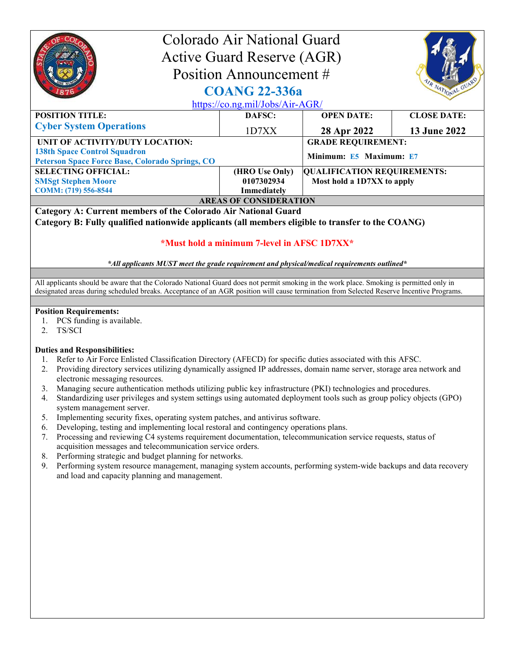|                                                                                               | Colorado Air National Guard<br><b>Active Guard Reserve (AGR)</b><br>Position Announcement # |                                    |                     |  |
|-----------------------------------------------------------------------------------------------|---------------------------------------------------------------------------------------------|------------------------------------|---------------------|--|
| VR NATIONAL GUARD<br><b>COANG 22-336a</b><br>https://co.ng.mil/Jobs/Air-AGR/                  |                                                                                             |                                    |                     |  |
| <b>POSITION TITLE:</b>                                                                        | DAFSC:                                                                                      | <b>OPEN DATE:</b>                  | <b>CLOSE DATE:</b>  |  |
| <b>Cyber System Operations</b>                                                                | 1D7XX                                                                                       | 28 Apr 2022                        | <b>13 June 2022</b> |  |
| UNIT OF ACTIVITY/DUTY LOCATION:                                                               |                                                                                             | <b>GRADE REQUIREMENT:</b>          |                     |  |
| <b>138th Space Control Squadron</b><br><b>Peterson Space Force Base, Colorado Springs, CO</b> |                                                                                             | Minimum: E5 Maximum: E7            |                     |  |
| <b>SELECTING OFFICIAL:</b>                                                                    | (HRO Use Only)                                                                              | <b>QUALIFICATION REQUIREMENTS:</b> |                     |  |
| <b>SMSgt Stephen Moore</b>                                                                    | 0107302934                                                                                  | Most hold a 1D7XX to apply         |                     |  |
| COMM: (719) 556-8544                                                                          | Immediately                                                                                 |                                    |                     |  |
| <b>AREAS OF CONSIDERATION</b>                                                                 |                                                                                             |                                    |                     |  |
| Category A: Current members of the Colorado Air National Guard                                |                                                                                             |                                    |                     |  |

Category B: Fully qualified nationwide applicants (all members eligible to transfer to the COANG)

## \*Must hold a minimum 7-level in AFSC 1D7XX\*

\*All applicants MUST meet the grade requirement and physical/medical requirements outlined\*

All applicants should be aware that the Colorado National Guard does not permit smoking in the work place. Smoking is permitted only in designated areas during scheduled breaks. Acceptance of an AGR position will cause termination from Selected Reserve Incentive Programs.

## Position Requirements:

- 1. PCS funding is available.
- 2. TS/SCI

## Duties and Responsibilities:

- 1. Refer to Air Force Enlisted Classification Directory (AFECD) for specific duties associated with this AFSC.
- 2. Providing directory services utilizing dynamically assigned IP addresses, domain name server, storage area network and electronic messaging resources.
- 3. Managing secure authentication methods utilizing public key infrastructure (PKI) technologies and procedures.
- 4. Standardizing user privileges and system settings using automated deployment tools such as group policy objects (GPO) system management server.
- 5. Implementing security fixes, operating system patches, and antivirus software.
- 6. Developing, testing and implementing local restoral and contingency operations plans.
- 7. Processing and reviewing C4 systems requirement documentation, telecommunication service requests, status of acquisition messages and telecommunication service orders.
- 8. Performing strategic and budget planning for networks.
- 9. Performing system resource management, managing system accounts, performing system-wide backups and data recovery and load and capacity planning and management.